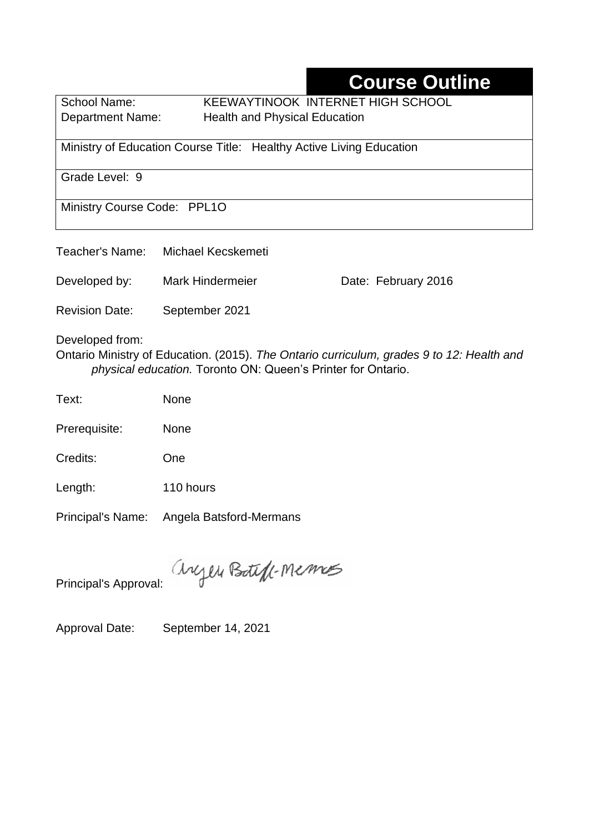# **Course Outline**

School Name: KEEWAYTINOOK INTERNET HIGH SCHOOL Department Name:Health and Physical Education

Ministry of Education Course Title:Healthy Active Living Education

Grade Level: 9

Ministry Course Code: PPL1O

| Teacher's Name:                                                                                              | Michael Kecskemeti      |                     |  |  |  |
|--------------------------------------------------------------------------------------------------------------|-------------------------|---------------------|--|--|--|
| Developed by:                                                                                                | <b>Mark Hindermeier</b> | Date: February 2016 |  |  |  |
| <b>Revision Date:</b>                                                                                        | September 2021          |                     |  |  |  |
| Developed from:<br>Ontario Ministry of Education. (2015). The Ontario curriculum, grades 9 to 12: Health and |                         |                     |  |  |  |

Ontario Ministry of Education. (2015). *The Ontario curriculum, grades 9 to 12: Health and physical education.* Toronto ON: Queen's Printer for Ontario.

Text: None

Prerequisite: None

Credits: One

Length: 110 hours

Principal's Name: Angela Batsford-Mermans

anyen Boteff-Memos

Principal's Approval:

Approval Date: September 14, 2021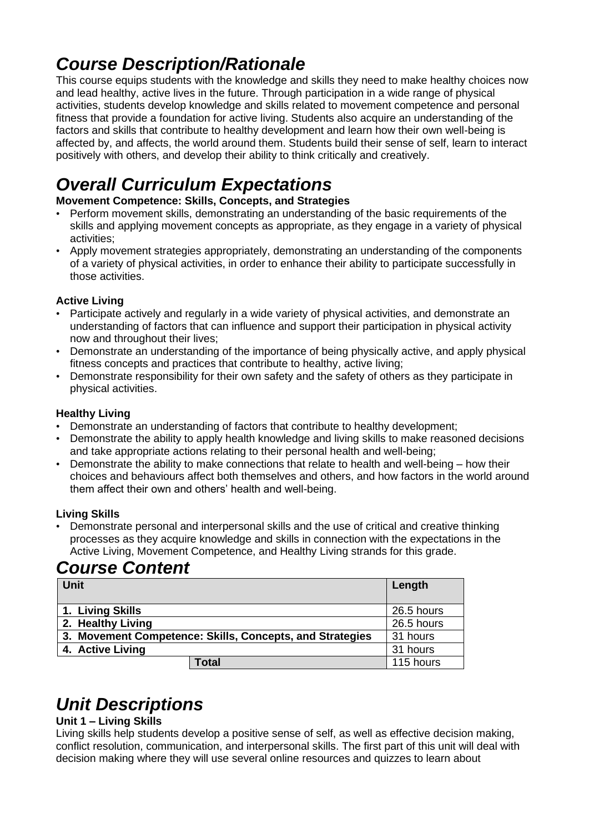## *Course Description/Rationale*

This course equips students with the knowledge and skills they need to make healthy choices now and lead healthy, active lives in the future. Through participation in a wide range of physical activities, students develop knowledge and skills related to movement competence and personal fitness that provide a foundation for active living. Students also acquire an understanding of the factors and skills that contribute to healthy development and learn how their own well-being is affected by, and affects, the world around them. Students build their sense of self, learn to interact positively with others, and develop their ability to think critically and creatively.

# *Overall Curriculum Expectations*

#### **Movement Competence: Skills, Concepts, and Strategies**

- Perform movement skills, demonstrating an understanding of the basic requirements of the skills and applying movement concepts as appropriate, as they engage in a variety of physical activities;
- Apply movement strategies appropriately, demonstrating an understanding of the components of a variety of physical activities, in order to enhance their ability to participate successfully in those activities.

#### **Active Living**

- Participate actively and regularly in a wide variety of physical activities, and demonstrate an understanding of factors that can influence and support their participation in physical activity now and throughout their lives;
- Demonstrate an understanding of the importance of being physically active, and apply physical fitness concepts and practices that contribute to healthy, active living;
- Demonstrate responsibility for their own safety and the safety of others as they participate in physical activities.

#### **Healthy Living**

- Demonstrate an understanding of factors that contribute to healthy development;
- Demonstrate the ability to apply health knowledge and living skills to make reasoned decisions and take appropriate actions relating to their personal health and well-being;
- Demonstrate the ability to make connections that relate to health and well-being how their choices and behaviours affect both themselves and others, and how factors in the world around them affect their own and others' health and well-being.

#### **Living Skills**

• Demonstrate personal and interpersonal skills and the use of critical and creative thinking processes as they acquire knowledge and skills in connection with the expectations in the Active Living, Movement Competence, and Healthy Living strands for this grade.

## *Course Content*

| <b>Unit</b>                                              | Length     |
|----------------------------------------------------------|------------|
| 1. Living Skills                                         | 26.5 hours |
| 2. Healthy Living                                        | 26.5 hours |
| 3. Movement Competence: Skills, Concepts, and Strategies | 31 hours   |
| 4. Active Living                                         | 31 hours   |
| <b>Total</b>                                             | 115 hours  |

### *Unit Descriptions*

#### **Unit 1 – Living Skills**

Living skills help students develop a positive sense of self, as well as effective decision making, conflict resolution, communication, and interpersonal skills. The first part of this unit will deal with decision making where they will use several online resources and quizzes to learn about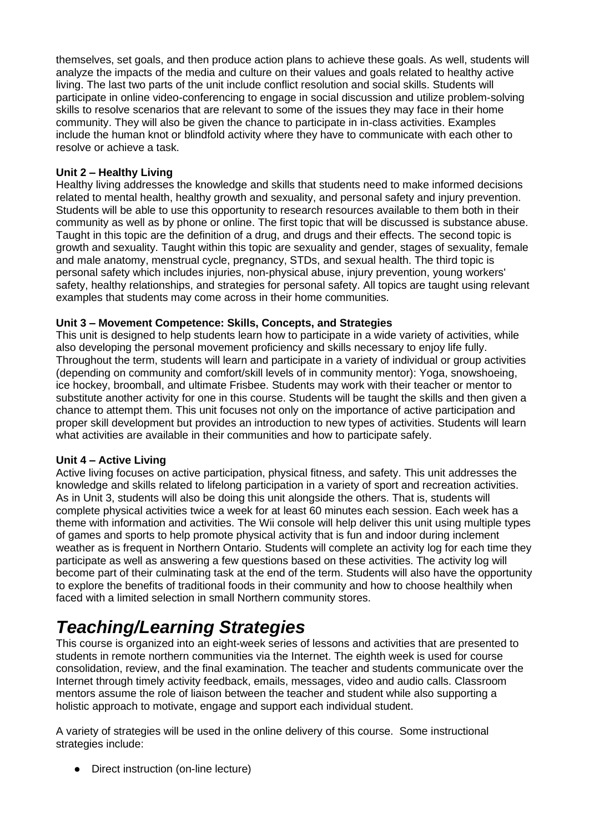themselves, set goals, and then produce action plans to achieve these goals. As well, students will analyze the impacts of the media and culture on their values and goals related to healthy active living. The last two parts of the unit include conflict resolution and social skills. Students will participate in online video-conferencing to engage in social discussion and utilize problem-solving skills to resolve scenarios that are relevant to some of the issues they may face in their home community. They will also be given the chance to participate in in-class activities. Examples include the human knot or blindfold activity where they have to communicate with each other to resolve or achieve a task.

#### **Unit 2 – Healthy Living**

Healthy living addresses the knowledge and skills that students need to make informed decisions related to mental health, healthy growth and sexuality, and personal safety and injury prevention. Students will be able to use this opportunity to research resources available to them both in their community as well as by phone or online. The first topic that will be discussed is substance abuse. Taught in this topic are the definition of a drug, and drugs and their effects. The second topic is growth and sexuality. Taught within this topic are sexuality and gender, stages of sexuality, female and male anatomy, menstrual cycle, pregnancy, STDs, and sexual health. The third topic is personal safety which includes injuries, non-physical abuse, injury prevention, young workers' safety, healthy relationships, and strategies for personal safety. All topics are taught using relevant examples that students may come across in their home communities.

#### **Unit 3 – Movement Competence: Skills, Concepts, and Strategies**

This unit is designed to help students learn how to participate in a wide variety of activities, while also developing the personal movement proficiency and skills necessary to enjoy life fully. Throughout the term, students will learn and participate in a variety of individual or group activities (depending on community and comfort/skill levels of in community mentor): Yoga, snowshoeing, ice hockey, broomball, and ultimate Frisbee. Students may work with their teacher or mentor to substitute another activity for one in this course. Students will be taught the skills and then given a chance to attempt them. This unit focuses not only on the importance of active participation and proper skill development but provides an introduction to new types of activities. Students will learn what activities are available in their communities and how to participate safely.

#### **Unit 4 – Active Living**

Active living focuses on active participation, physical fitness, and safety. This unit addresses the knowledge and skills related to lifelong participation in a variety of sport and recreation activities. As in Unit 3, students will also be doing this unit alongside the others. That is, students will complete physical activities twice a week for at least 60 minutes each session. Each week has a theme with information and activities. The Wii console will help deliver this unit using multiple types of games and sports to help promote physical activity that is fun and indoor during inclement weather as is frequent in Northern Ontario. Students will complete an activity log for each time they participate as well as answering a few questions based on these activities. The activity log will become part of their culminating task at the end of the term. Students will also have the opportunity to explore the benefits of traditional foods in their community and how to choose healthily when faced with a limited selection in small Northern community stores.

### *Teaching/Learning Strategies*

This course is organized into an eight-week series of lessons and activities that are presented to students in remote northern communities via the Internet. The eighth week is used for course consolidation, review, and the final examination. The teacher and students communicate over the Internet through timely activity feedback, emails, messages, video and audio calls. Classroom mentors assume the role of liaison between the teacher and student while also supporting a holistic approach to motivate, engage and support each individual student.

A variety of strategies will be used in the online delivery of this course. Some instructional strategies include:

● Direct instruction (on-line lecture)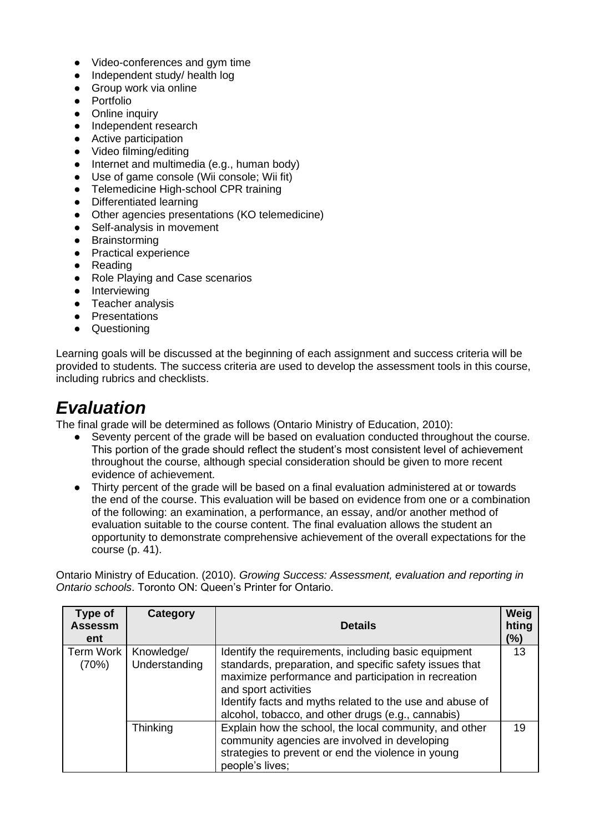- Video-conferences and gym time
- Independent study/ health log
- Group work via online
- Portfolio
- Online inquiry<br>• Independent r
- Independent research
- Active participation
- Video filming/editing
- Internet and multimedia (e.g., human body)
- Use of game console (Wii console; Wii fit)
- Telemedicine High-school CPR training
- Differentiated learning
- Other agencies presentations (KO telemedicine)
- Self-analysis in movement
- Brainstorming
- Practical experience
- Reading
- Role Playing and Case scenarios
- Interviewing
- Teacher analysis
- Presentations
- Questioning

Learning goals will be discussed at the beginning of each assignment and success criteria will be provided to students. The success criteria are used to develop the assessment tools in this course, including rubrics and checklists.

### *Evaluation*

The final grade will be determined as follows (Ontario Ministry of Education, 2010):

- Seventy percent of the grade will be based on evaluation conducted throughout the course. This portion of the grade should reflect the student's most consistent level of achievement throughout the course, although special consideration should be given to more recent evidence of achievement.
- Thirty percent of the grade will be based on a final evaluation administered at or towards the end of the course. This evaluation will be based on evidence from one or a combination of the following: an examination, a performance, an essay, and/or another method of evaluation suitable to the course content. The final evaluation allows the student an opportunity to demonstrate comprehensive achievement of the overall expectations for the course (p. 41).

Ontario Ministry of Education. (2010). *Growing Success: Assessment, evaluation and reporting in Ontario schools*. Toronto ON: Queen's Printer for Ontario.

| Type of<br><b>Assessm</b><br>ent | Category                    | <b>Details</b>                                                                                                                                                                                                                                                                                                    | Weig<br>hting<br>$(\%)$ |
|----------------------------------|-----------------------------|-------------------------------------------------------------------------------------------------------------------------------------------------------------------------------------------------------------------------------------------------------------------------------------------------------------------|-------------------------|
| Term Work<br>(70%)               | Knowledge/<br>Understanding | Identify the requirements, including basic equipment<br>standards, preparation, and specific safety issues that<br>maximize performance and participation in recreation<br>and sport activities<br>Identify facts and myths related to the use and abuse of<br>alcohol, tobacco, and other drugs (e.g., cannabis) | 13                      |
|                                  | Thinking                    | Explain how the school, the local community, and other<br>community agencies are involved in developing<br>strategies to prevent or end the violence in young<br>people's lives;                                                                                                                                  | 19                      |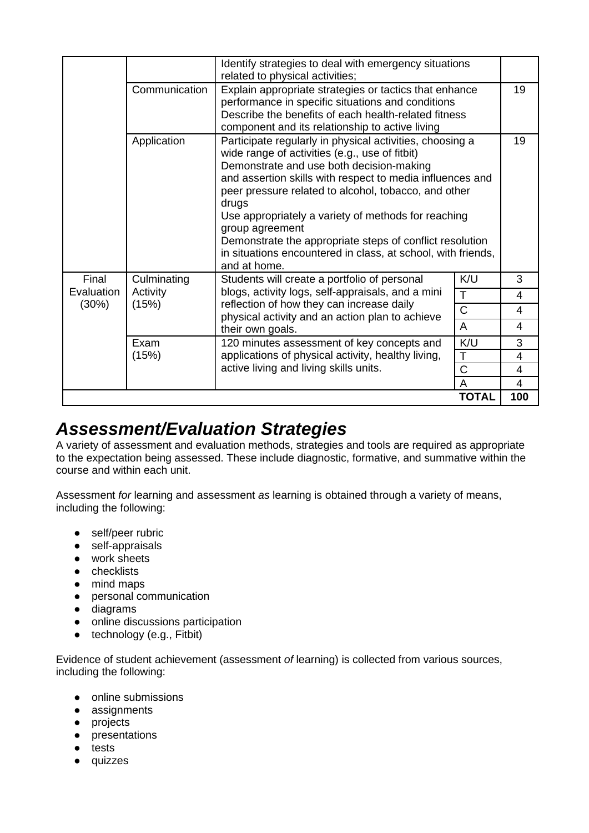|                              |                                  | Identify strategies to deal with emergency situations<br>related to physical activities;                                                                                                                                                                                                                                                                                                                                                                                                                   |                |     |
|------------------------------|----------------------------------|------------------------------------------------------------------------------------------------------------------------------------------------------------------------------------------------------------------------------------------------------------------------------------------------------------------------------------------------------------------------------------------------------------------------------------------------------------------------------------------------------------|----------------|-----|
|                              | Communication                    | Explain appropriate strategies or tactics that enhance<br>performance in specific situations and conditions<br>Describe the benefits of each health-related fitness<br>component and its relationship to active living                                                                                                                                                                                                                                                                                     |                |     |
|                              | Application                      | Participate regularly in physical activities, choosing a<br>wide range of activities (e.g., use of fitbit)<br>Demonstrate and use both decision-making<br>and assertion skills with respect to media influences and<br>peer pressure related to alcohol, tobacco, and other<br>drugs<br>Use appropriately a variety of methods for reaching<br>group agreement<br>Demonstrate the appropriate steps of conflict resolution<br>in situations encountered in class, at school, with friends,<br>and at home. |                | 19  |
| Final<br>Evaluation<br>(30%) | Culminating<br>Activity<br>(15%) | Students will create a portfolio of personal<br>blogs, activity logs, self-appraisals, and a mini<br>reflection of how they can increase daily<br>physical activity and an action plan to achieve<br>their own goals.                                                                                                                                                                                                                                                                                      | K/U            | 3   |
|                              |                                  |                                                                                                                                                                                                                                                                                                                                                                                                                                                                                                            | T              | 4   |
|                              |                                  |                                                                                                                                                                                                                                                                                                                                                                                                                                                                                                            | $\overline{C}$ | 4   |
|                              |                                  |                                                                                                                                                                                                                                                                                                                                                                                                                                                                                                            | A              | 4   |
|                              | Exam                             | 120 minutes assessment of key concepts and                                                                                                                                                                                                                                                                                                                                                                                                                                                                 | K/U            | 3   |
|                              | (15%)                            | applications of physical activity, healthy living,<br>active living and living skills units.                                                                                                                                                                                                                                                                                                                                                                                                               | T              | 4   |
|                              |                                  |                                                                                                                                                                                                                                                                                                                                                                                                                                                                                                            | $\mathsf C$    | 4   |
|                              |                                  |                                                                                                                                                                                                                                                                                                                                                                                                                                                                                                            | A              | 4   |
|                              |                                  |                                                                                                                                                                                                                                                                                                                                                                                                                                                                                                            | <b>TOTAL</b>   | 100 |

### *Assessment/Evaluation Strategies*

A variety of assessment and evaluation methods, strategies and tools are required as appropriate to the expectation being assessed. These include diagnostic, formative, and summative within the course and within each unit.

Assessment *for* learning and assessment *as* learning is obtained through a variety of means, including the following:

- self/peer rubric
- self-appraisals
- work sheets
- checklists
- mind maps
- personal communication
- diagrams
- online discussions participation
- $\bullet$  technology (e.g., Fitbit)

Evidence of student achievement (assessment *of* learning) is collected from various sources, including the following:

- online submissions
- assignments
- projects
- presentations
- tests
- quizzes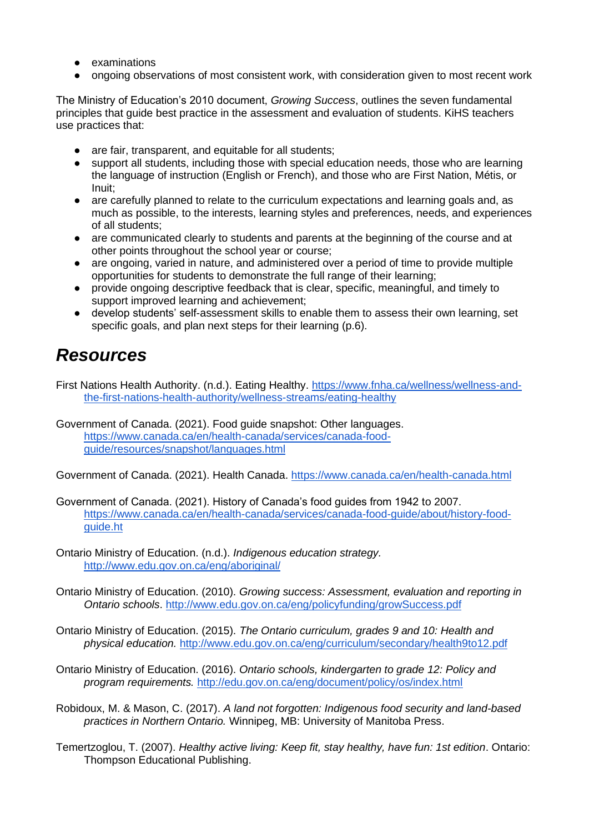- examinations
- ongoing observations of most consistent work, with consideration given to most recent work

The Ministry of Education's 2010 document, *Growing Success*, outlines the seven fundamental principles that guide best practice in the assessment and evaluation of students. KiHS teachers use practices that:

- are fair, transparent, and equitable for all students;
- support all students, including those with special education needs, those who are learning the language of instruction (English or French), and those who are First Nation, Métis, or Inuit;
- are carefully planned to relate to the curriculum expectations and learning goals and, as much as possible, to the interests, learning styles and preferences, needs, and experiences of all students;
- are communicated clearly to students and parents at the beginning of the course and at other points throughout the school year or course;
- are ongoing, varied in nature, and administered over a period of time to provide multiple opportunities for students to demonstrate the full range of their learning;
- provide ongoing descriptive feedback that is clear, specific, meaningful, and timely to support improved learning and achievement;
- develop students' self-assessment skills to enable them to assess their own learning, set specific goals, and plan next steps for their learning (p.6).

### *Resources*

First Nations Health Authority. (n.d.). Eating Healthy. [https://www.fnha.ca/wellness/wellness-and](https://www.fnha.ca/wellness/wellness-and-the-first-nations-health-authority/wellness-streams/eating-healthy)[the-first-nations-health-authority/wellness-streams/eating-healthy](https://www.fnha.ca/wellness/wellness-and-the-first-nations-health-authority/wellness-streams/eating-healthy)

Government of Canada. (2021). Food guide snapshot: Other languages. [https://www.canada.ca/en/health-canada/services/canada-food](https://www.canada.ca/en/health-canada/services/canada-food-guide/resources/snapshot/languages.html)[guide/resources/snapshot/languages.html](https://www.canada.ca/en/health-canada/services/canada-food-guide/resources/snapshot/languages.html)

Government of Canada. (2021). Health Canada.<https://www.canada.ca/en/health-canada.html>

- Government of Canada. (2021). History of Canada's food guides from 1942 to 2007. [https://www.canada.ca/en/health-canada/services/canada-food-guide/about/history-food](https://www.canada.ca/en/health-canada/services/canada-food-guide/about/history-food-guide.html)[guide.ht](https://www.canada.ca/en/health-canada/services/canada-food-guide/about/history-food-guide.html)
- Ontario Ministry of Education. (n.d.). *Indigenous education strategy.* <http://www.edu.gov.on.ca/eng/aboriginal/>
- Ontario Ministry of Education. (2010). *Growing success: Assessment, evaluation and reporting in Ontario schools*.<http://www.edu.gov.on.ca/eng/policyfunding/growSuccess.pdf>
- Ontario Ministry of Education. (2015). *The Ontario curriculum, grades 9 and 10: Health and physical education.* <http://www.edu.gov.on.ca/eng/curriculum/secondary/health9to12.pdf>
- Ontario Ministry of Education. (2016). *Ontario schools, kindergarten to grade 12: Policy and program requirements.* <http://edu.gov.on.ca/eng/document/policy/os/index.html>
- Robidoux, M. & Mason, C. (2017). *A land not forgotten: Indigenous food security and land-based practices in Northern Ontario.* Winnipeg, MB: University of Manitoba Press.
- Temertzoglou, T. (2007). *Healthy active living: Keep fit, stay healthy, have fun: 1st edition*. Ontario: Thompson Educational Publishing.